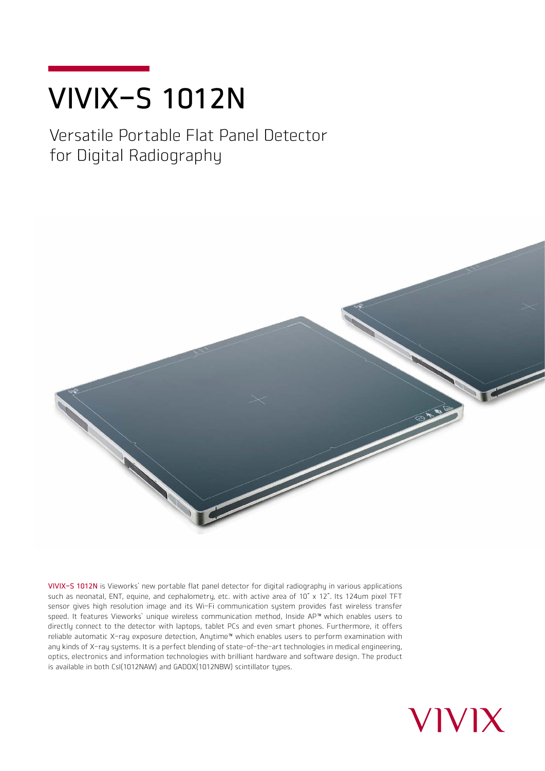# VIVIX-S 1012N

## Versatile Portable Flat Panel Detector for Digital Radiography



VIVIX-S 1012N is Vieworks' new portable flat panel detector for digital radiography in various applications such as neonatal, ENT, equine, and cephalometry, etc. with active area of 10" x 12". Its 124um pixel TFT sensor gives high resolution image and its Wi-Fi communication system provides fast wireless transfer speed. It features Vieworks' unique wireless communication method, Inside AP™ which enables users to directly connect to the detector with laptops, tablet PCs and even smart phones. Furthermore, it offers reliable automatic X-ray exposure detection, Anytime™which enables users to perform examination with any kinds of X-ray systems. It is a perfect blending of state-of-the-art technologies in medical engineering, optics, electronics and information technologies with brilliant hardware and software design. The product is available in both CsI(1012NAW) and GADOX(1012NBW) scintillator types.